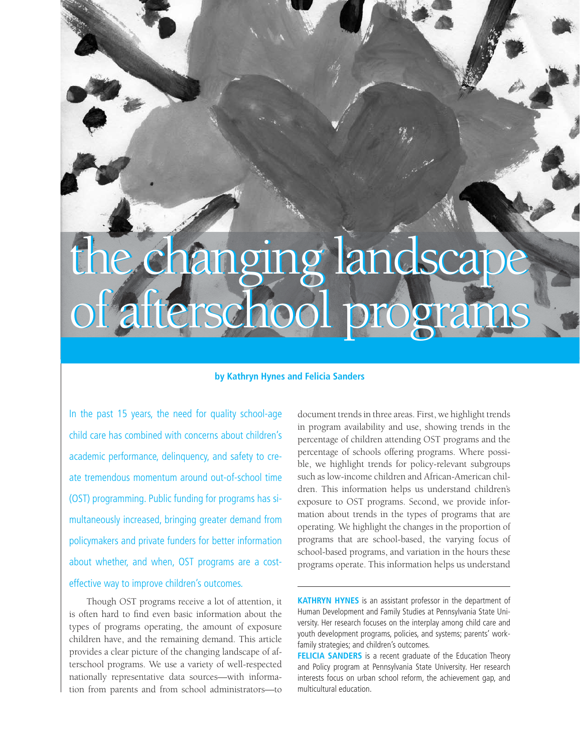# the changing landscape the changing landscape of afterschool programs of afterschool programs

#### **by Kathryn Hynes and Felicia Sanders**

In the past 15 years, the need for quality school-age child care has combined with concerns about children's academic performance, delinquency, and safety to create tremendous momentum around out-of-school time (OST) programming. Public funding for programs has simultaneously increased, bringing greater demand from policymakers and private funders for better information about whether, and when, OST programs are a costeffective way to improve children's outcomes.

Though OST programs receive a lot of attention, it is often hard to find even basic information about the types of programs operating, the amount of exposure children have, and the remaining demand. This article provides a clear picture of the changing landscape of afterschool programs. We use a variety of well-respected nationally representative data sources—with information from parents and from school administrators—to

document trends in three areas. First, we highlight trends in program availability and use, showing trends in the percentage of children attending OST programs and the percentage of schools offering programs. Where possible, we highlight trends for policy-relevant subgroups such as low-income children and African-American children. This information helps us understand children's exposure to OST programs. Second, we provide information about trends in the types of programs that are operating. We highlight the changes in the proportion of programs that are school-based, the varying focus of school-based programs, and variation in the hours these programs operate. This information helps us understand

**KATHRYN HYNES** is an assistant professor in the department of Human Development and Family Studies at Pennsylvania State University. Her research focuses on the interplay among child care and youth development programs, policies, and systems; parents' workfamily strategies; and children's outcomes.

**FELICIA SANDERS** is a recent graduate of the Education Theory and Policy program at Pennsylvania State University. Her research interests focus on urban school reform, the achievement gap, and multicultural education.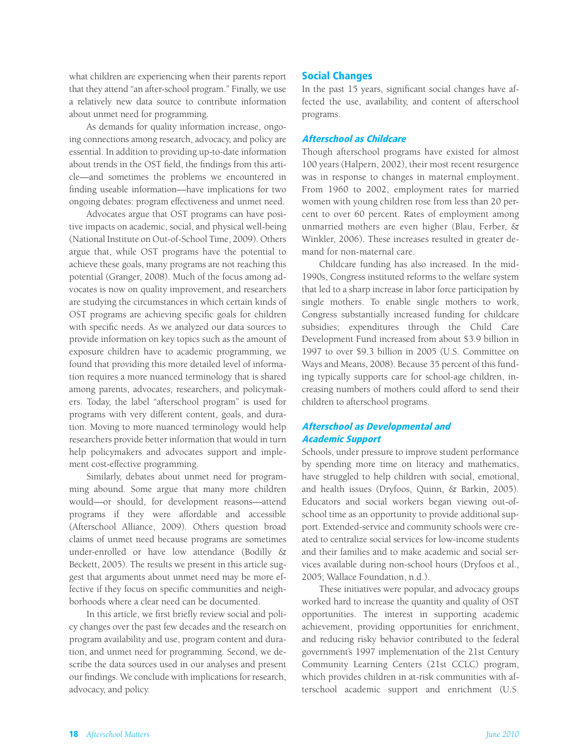what children are experiencing when their parents report that they attend "an after-school program." Finally, we use a relatively new data source to contribute information about unmet need for programming.

As demands for quality information increase, ongoing connections among research, advocacy, and policy are essential. In addition to providing up-to-date information about trends in the OST field, the findings from this article—and sometimes the problems we encountered in finding useable information—have implications for two ongoing debates: program effectiveness and unmet need.

Advocates argue that OST programs can have positive impacts on academic, social, and physical well-being (National Institute on Out-of-School Time, 2009). Others argue that, while OST programs have the potential to achieve these goals, many programs are not reaching this potential (Granger, 2008). Much of the focus among advocates is now on quality improvement, and researchers are studying the circumstances in which certain kinds of OST programs are achieving specific goals for children with specific needs. As we analyzed our data sources to provide information on key topics such as the amount of exposure children have to academic programming, we found that providing this more detailed level of information requires a more nuanced terminology that is shared among parents, advocates, researchers, and policymakers. Today, the label "afterschool program" is used for programs with very different content, goals, and duration. Moving to more nuanced terminology would help researchers provide better information that would in turn help policymakers and advocates support and implement cost-effective programming.

Similarly, debates about unmet need for programming abound. Some argue that many more children would—or should, for development reasons—attend programs if they were affordable and accessible (Afterschool Alliance, 2009). Others question broad claims of unmet need because programs are sometimes under-enrolled or have low attendance (Bodilly & Beckett, 2005). The results we present in this article suggest that arguments about unmet need may be more effective if they focus on specific communities and neighborhoods where a clear need can be documented.

In this article, we first briefly review social and policy changes over the past few decades and the research on program availability and use, program content and duration, and unmet need for programming. Second, we describe the data sources used in our analyses and present our findings. We conclude with implications for research, advocacy, and policy.

### Social Changes

In the past 15 years, significant social changes have affected the use, availability, and content of afterschool programs.

#### Afterschool as Childcare

Though afterschool programs have existed for almost 100 years (Halpern, 2002), their most recent resurgence was in response to changes in maternal employment. From 1960 to 2002, employment rates for married women with young children rose from less than 20 percent to over 60 percent. Rates of employment among unmarried mothers are even higher (Blau, Ferber, & Winkler, 2006). These increases resulted in greater demand for non-maternal care.

Childcare funding has also increased. In the mid-1990s, Congress instituted reforms to the welfare system that led to a sharp increase in labor force participation by single mothers. To enable single mothers to work, Congress substantially increased funding for childcare subsidies; expenditures through the Child Care Development Fund increased from about \$3.9 billion in 1997 to over \$9.3 billion in 2005 (U.S. Committee on Ways and Means, 2008). Because 35 percent of this funding typically supports care for school-age children, increasing numbers of mothers could afford to send their children to afterschool programs.

#### Afterschool as Developmental and Academic Support

Schools, under pressure to improve student performance by spending more time on literacy and mathematics, have struggled to help children with social, emotional, and health issues (Dryfoos, Quinn, & Barkin, 2005). Educators and social workers began viewing out-ofschool time as an opportunity to provide additional support. Extended-service and community schools were created to centralize social services for low-income students and their families and to make academic and social services available during non-school hours (Dryfoos et al., 2005; Wallace Foundation, n.d.).

These initiatives were popular, and advocacy groups worked hard to increase the quantity and quality of OST opportunities. The interest in supporting academic achievement, providing opportunities for enrichment, and reducing risky behavior contributed to the federal government's 1997 implementation of the 21st Century Community Learning Centers (21st CCLC) program, which provides children in at-risk communities with afterschool academic support and enrichment (U.S.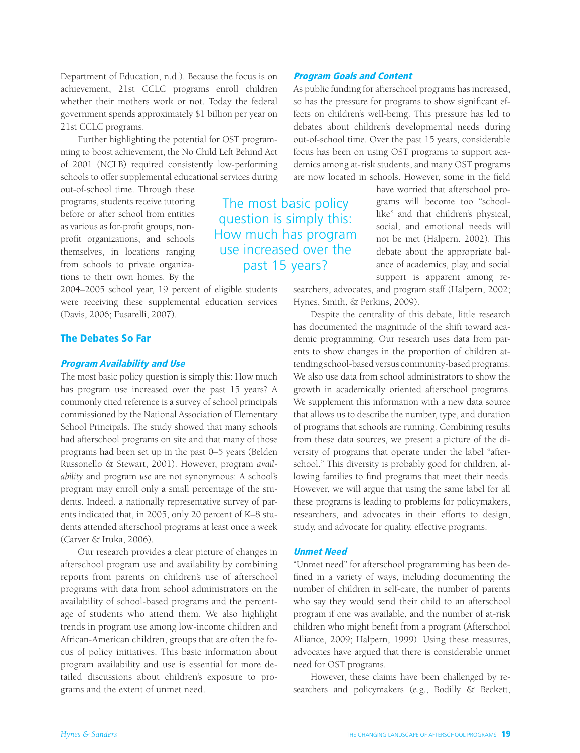Department of Education, n.d.). Because the focus is on achievement, 21st CCLC programs enroll children whether their mothers work or not. Today the federal government spends approximately \$1 billion per year on 21st CCLC programs.

Further highlighting the potential for OST programming to boost achievement, the No Child Left Behind Act of 2001 (NCLB) required consistently low-performing schools to offer supplemental educational services during

out-of-school time. Through these programs, students receive tutoring before or after school from entities as various as for-profit groups, nonprofit organizations, and schools themselves, in locations ranging from schools to private organizations to their own homes. By the

2004–2005 school year, 19 percent of eligible students were receiving these supplemental education services (Davis, 2006; Fusarelli, 2007).

#### The Debates So Far

#### Program Availability and Use

The most basic policy question is simply this: How much has program use increased over the past 15 years? A commonly cited reference is a survey of school principals commissioned by the National Association of Elementary School Principals. The study showed that many schools had afterschool programs on site and that many of those programs had been set up in the past 0–5 years (Belden Russonello & Stewart, 2001). However, program *availability* and program *use* are not synonymous: A school's program may enroll only a small percentage of the students. Indeed, a nationally representative survey of parents indicated that, in 2005, only 20 percent of K–8 students attended afterschool programs at least once a week (Carver & Iruka, 2006).

Our research provides a clear picture of changes in afterschool program use and availability by combining reports from parents on children's use of afterschool programs with data from school administrators on the availability of school-based programs and the percentage of students who attend them. We also highlight trends in program use among low-income children and African-American children, groups that are often the focus of policy initiatives. This basic information about program availability and use is essential for more detailed discussions about children's exposure to programs and the extent of unmet need.

# The most basic policy question is simply this: How much has program use increased over the past 15 years?

are now located in schools. However, some in the field have worried that afterschool programs will become too "schoollike" and that children's physical, social, and emotional needs will not be met (Halpern, 2002). This debate about the appropriate balance of academics, play, and social support is apparent among re-

searchers, advocates, and program staff (Halpern, 2002; Hynes, Smith, & Perkins, 2009).

As public funding for afterschool programs has increased, so has the pressure for programs to show significant effects on children's well-being. This pressure has led to debates about children's developmental needs during out-of-school time. Over the past 15 years, considerable focus has been on using OST programs to support academics among at-risk students, and many OST programs

Program Goals and Content

Despite the centrality of this debate, little research has documented the magnitude of the shift toward academic programming. Our research uses data from parents to show changes in the proportion of children attending school-based versus community-based programs. We also use data from school administrators to show the growth in academically oriented afterschool programs. We supplement this information with a new data source that allows us to describe the number, type, and duration of programs that schools are running. Combining results from these data sources, we present a picture of the diversity of programs that operate under the label "afterschool." This diversity is probably good for children, allowing families to find programs that meet their needs. However, we will argue that using the same label for all these programs is leading to problems for policymakers, researchers, and advocates in their efforts to design, study, and advocate for quality, effective programs.

#### Unmet Need

"Unmet need" for afterschool programming has been defined in a variety of ways, including documenting the number of children in self-care, the number of parents who say they would send their child to an afterschool program if one was available, and the number of at-risk children who might benefit from a program (Afterschool Alliance, 2009; Halpern, 1999). Using these measures, advocates have argued that there is considerable unmet need for OST programs.

However, these claims have been challenged by researchers and policymakers (e.g., Bodilly & Beckett,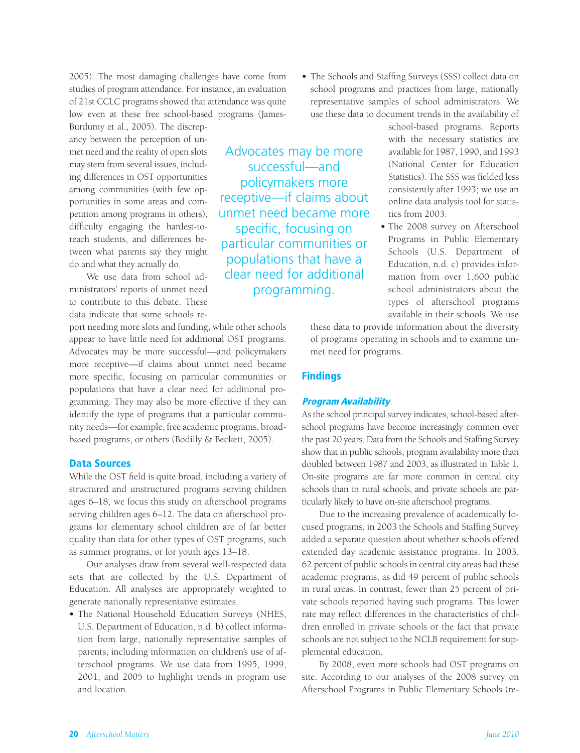2005). The most damaging challenges have come from studies of program attendance. For instance, an evaluation of 21st CCLC programs showed that attendance was quite low even at these free school-based programs (James-

Burdumy et al., 2005). The discrepancy between the perception of unmet need and the reality of open slots may stem from several issues, including differences in OST opportunities among communities (with few opportunities in some areas and competition among programs in others), difficulty engaging the hardest-toreach students, and differences between what parents say they might do and what they actually do.

We use data from school administrators' reports of unmet need to contribute to this debate. These data indicate that some schools re-

port needing more slots and funding, while other schools appear to have little need for additional OST programs. Advocates may be more successful—and policymakers more receptive—if claims about unmet need became more specific, focusing on particular communities or populations that have a clear need for additional programming. They may also be more effective if they can identify the type of programs that a particular community needs—for example, free academic programs, broadbased programs, or others (Bodilly & Beckett, 2005).

#### Data Sources

While the OST field is quite broad, including a variety of structured and unstructured programs serving children ages 6–18, we focus this study on afterschool programs serving children ages 6–12. The data on afterschool programs for elementary school children are of far better quality than data for other types of OST programs, such as summer programs, or for youth ages 13–18.

Our analyses draw from several well-respected data sets that are collected by the U.S. Department of Education. All analyses are appropriately weighted to generate nationally representative estimates.

• The National Household Education Surveys (NHES, U.S. Department of Education, n.d. b) collect information from large, nationally representative samples of parents, including information on children's use of afterschool programs. We use data from 1995, 1999, 2001, and 2005 to highlight trends in program use and location.

**•** The Schools and Staffing Surveys (SSS) collect data on school programs and practices from large, nationally representative samples of school administrators. We use these data to document trends in the availability of

Advocates may be more successful—and policymakers more receptive—if claims about unmet need became more specific, focusing on particular communities or populations that have a clear need for additional programming.

school-based programs. Reports with the necessary statistics are available for 1987, 1990, and 1993 (National Center for Education Statistics). The SSS was fielded less consistently after 1993; we use an online data analysis tool for statistics from 2003.

**•** The 2008 survey on Afterschool Programs in Public Elementary Schools (U.S. Department of Education, n.d. c) provides information from over 1,600 public school administrators about the types of afterschool programs available in their schools. We use

these data to provide information about the diversity of programs operating in schools and to examine unmet need for programs.

#### **Findings**

#### Program Availability

As the school principal survey indicates, school-based afterschool programs have become increasingly common over the past 20 years. Data from the Schools and Staffing Survey show that in public schools, program availability more than doubled between 1987 and 2003, as illustrated in Table 1. On-site programs are far more common in central city schools than in rural schools, and private schools are particularly likely to have on-site afterschool programs.

Due to the increasing prevalence of academically focused programs, in 2003 the Schools and Staffing Survey added a separate question about whether schools offered extended day academic assistance programs. In 2003, 62 percent of public schools in central city areas had these academic programs, as did 49 percent of public schools in rural areas. In contrast, fewer than 25 percent of private schools reported having such programs. This lower rate may reflect differences in the characteristics of children enrolled in private schools or the fact that private schools are not subject to the NCLB requirement for supplemental education.

By 2008, even more schools had OST programs on site. According to our analyses of the 2008 survey on Afterschool Programs in Public Elementary Schools (re-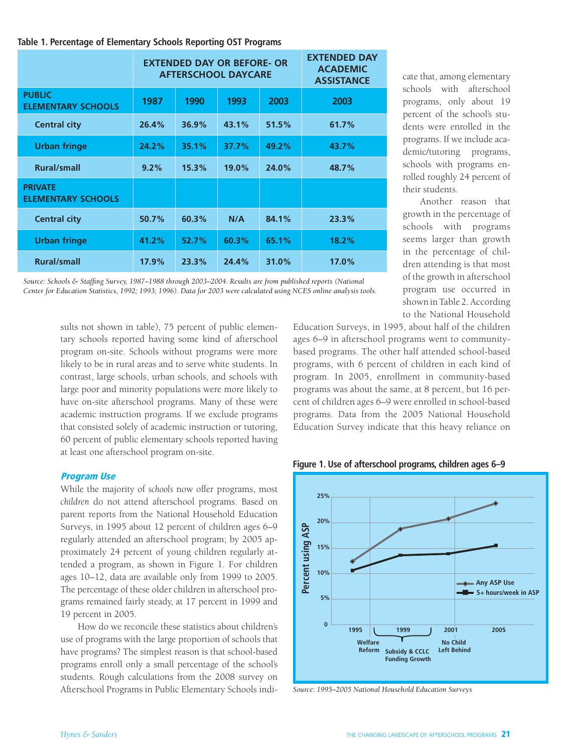#### **Table 1. Percentage of Elementary Schools Reporting OST Programs**

|                                             | <b>EXTENDED DAY OR BEFORE- OR</b><br><b>AFTERSCHOOL DAYCARE</b> |       |       |       | <b>EXTENDED DAY</b><br><b>ACADEMIC</b><br><b>ASSISTANCE</b> |
|---------------------------------------------|-----------------------------------------------------------------|-------|-------|-------|-------------------------------------------------------------|
| <b>PUBLIC</b><br><b>ELEMENTARY SCHOOLS</b>  | 1987                                                            | 1990  | 1993  | 2003  | 2003                                                        |
| <b>Central city</b>                         | 26.4%                                                           | 36.9% | 43.1% | 51.5% | 61.7%                                                       |
| <b>Urban fringe</b>                         | 24.2%                                                           | 35.1% | 37.7% | 49.2% | 43.7%                                                       |
| <b>Rural/small</b>                          | 9.2%                                                            | 15.3% | 19.0% | 24.0% | 48.7%                                                       |
| <b>PRIVATE</b><br><b>ELEMENTARY SCHOOLS</b> |                                                                 |       |       |       |                                                             |
| <b>Central city</b>                         | 50.7%                                                           | 60.3% | N/A   | 84.1% | 23.3%                                                       |
| <b>Urban fringe</b>                         | 41.2%                                                           | 52.7% | 60.3% | 65.1% | 18.2%                                                       |
| <b>Rural/small</b>                          | 17.9%                                                           | 23.3% | 24.4% | 31.0% | 17.0%                                                       |

*Source: Schools & Staffing Survey, 1987–1988 through 2003–2004. Results are from published reports (National Center for Education Statistics, 1992; 1993; 1996). Data for 2003 were calculated using NCES online analysis tools.*

> sults not shown in table), 75 percent of public elementary schools reported having some kind of afterschool program on-site. Schools without programs were more likely to be in rural areas and to serve white students. In contrast, large schools, urban schools, and schools with large poor and minority populations were more likely to have on-site afterschool programs. Many of these were academic instruction programs. If we exclude programs that consisted solely of academic instruction or tutoring, 60 percent of public elementary schools reported having at least one afterschool program on-site.

#### Program Use

While the majority of *schools* now offer programs, most *children* do not attend afterschool programs. Based on parent reports from the National Household Education Surveys, in 1995 about 12 percent of children ages 6–9 regularly attended an afterschool program; by 2005 approximately 24 percent of young children regularly attended a program, as shown in Figure 1. For children ages 10–12, data are available only from 1999 to 2005. The percentage of these older children in afterschool programs remained fairly steady, at 17 percent in 1999 and 19 percent in 2005.

How do we reconcile these statistics about children's use of programs with the large proportion of schools that have programs? The simplest reason is that school-based programs enroll only a small percentage of the school's students. Rough calculations from the 2008 survey on Afterschool Programs in Public Elementary Schools indi-

cate that, among elementary schools with afterschool programs, only about 19 percent of the school's students were enrolled in the programs. If we include academic/tutoring programs, schools with programs enrolled roughly 24 percent of their students.

Another reason that growth in the percentage of schools with programs seems larger than growth in the percentage of children attending is that most of the growth in afterschool program use occurred in shown in Table 2. According to the National Household

Education Surveys, in 1995, about half of the children ages 6–9 in afterschool programs went to communitybased programs. The other half attended school-based programs, with 6 percent of children in each kind of program. In 2005, enrollment in community-based programs was about the same, at 8 percent, but 16 percent of children ages 6–9 were enrolled in school-based programs. Data from the 2005 National Household Education Survey indicate that this heavy reliance on

**Figure 1. Use of afterschool programs, children ages 6–9**



*Source: 1995–2005 National Household Education Surveys*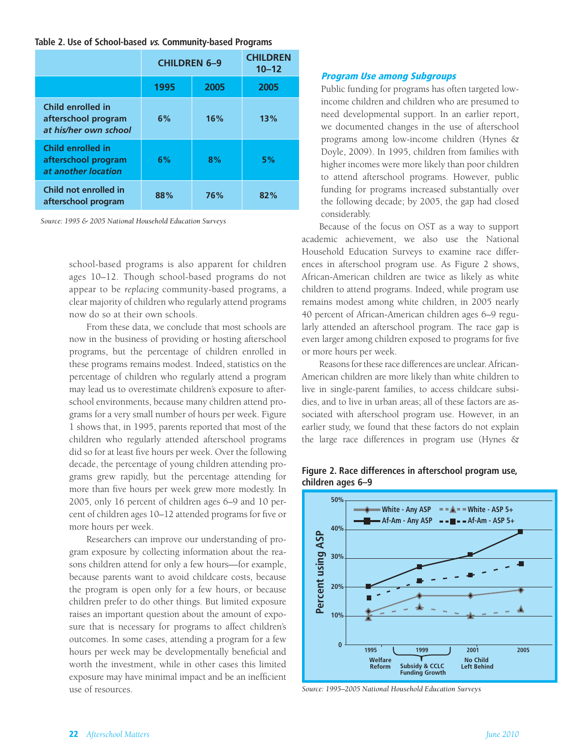#### **Table 2. Use of School-based vs. Community-based Programs**

|                                                                        | <b>CHILDREN 6-9</b> | <b>CHILDREN</b><br>$10 - 12$ |      |
|------------------------------------------------------------------------|---------------------|------------------------------|------|
|                                                                        | 1995                | 2005                         | 2005 |
| Child enrolled in<br>afterschool program<br>at his/her own school      | 6%                  | 16%                          | 13%  |
| <b>Child enrolled in</b><br>afterschool program<br>at another location | 6%                  | 8%                           | 5%   |
| Child not enrolled in<br>afterschool program                           | 88%                 | 76%                          | 82%  |

*Source: 1995 & 2005 National Household Education Surveys*

school-based programs is also apparent for children ages 10–12. Though school-based programs do not appear to be *replacing* community-based programs, a clear majority of children who regularly attend programs now do so at their own schools.

From these data, we conclude that most schools are now in the business of providing or hosting afterschool programs, but the percentage of children enrolled in these programs remains modest. Indeed, statistics on the percentage of children who regularly attend a program may lead us to overestimate children's exposure to afterschool environments, because many children attend programs for a very small number of hours per week. Figure 1 shows that, in 1995, parents reported that most of the children who regularly attended afterschool programs did so for at least five hours per week. Over the following decade, the percentage of young children attending programs grew rapidly, but the percentage attending for more than five hours per week grew more modestly. In 2005, only 16 percent of children ages 6–9 and 10 percent of children ages 10–12 attended programs for five or more hours per week.

Researchers can improve our understanding of program exposure by collecting information about the reasons children attend for only a few hours—for example, because parents want to avoid childcare costs, because the program is open only for a few hours, or because children prefer to do other things. But limited exposure raises an important question about the amount of exposure that is necessary for programs to affect children's outcomes. In some cases, attending a program for a few hours per week may be developmentally beneficial and worth the investment, while in other cases this limited exposure may have minimal impact and be an inefficient use of resources.

#### Program Use among Subgroups

Public funding for programs has often targeted lowincome children and children who are presumed to need developmental support. In an earlier report, we documented changes in the use of afterschool programs among low-income children (Hynes & Doyle, 2009). In 1995, children from families with higher incomes were more likely than poor children to attend afterschool programs. However, public funding for programs increased substantially over the following decade; by 2005, the gap had closed considerably.

Because of the focus on OST as a way to support academic achievement, we also use the National Household Education Surveys to examine race differences in afterschool program use. As Figure 2 shows, African-American children are twice as likely as white children to attend programs. Indeed, while program use remains modest among white children, in 2005 nearly 40 percent of African-American children ages 6–9 regularly attended an afterschool program. The race gap is even larger among children exposed to programs for five or more hours per week.

Reasons for these race differences are unclear. African-American children are more likely than white children to live in single-parent families, to access childcare subsidies, and to live in urban areas; all of these factors are associated with afterschool program use. However, in an earlier study, we found that these factors do not explain the large race differences in program use (Hynes &



**Figure 2. Race differences in afterschool program use, children ages 6–9**

*Source: 1995–2005 National Household Education Surveys*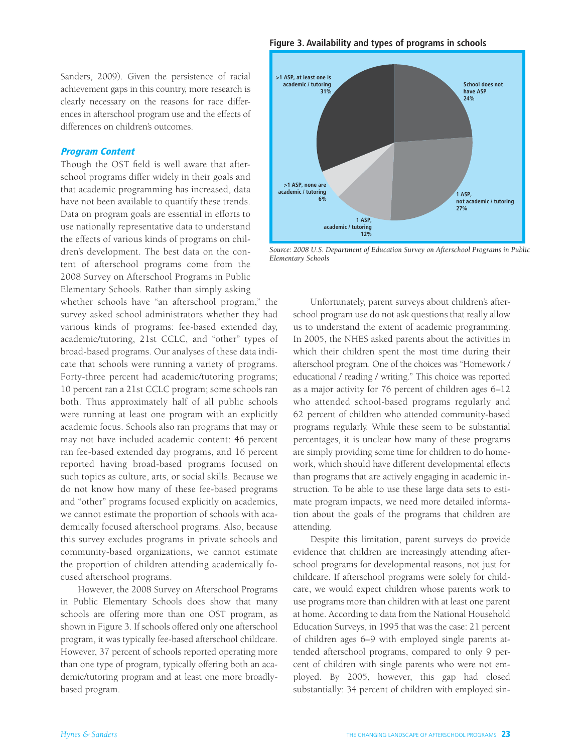**Figure 3. Availability and types of programs in schools**

Sanders, 2009). Given the persistence of racial achievement gaps in this country, more research is clearly necessary on the reasons for race differences in afterschool program use and the effects of differences on children's outcomes.

#### Program Content

Though the OST field is well aware that afterschool programs differ widely in their goals and that academic programming has increased, data have not been available to quantify these trends. Data on program goals are essential in efforts to use nationally representative data to understand the effects of various kinds of programs on children's development. The best data on the content of afterschool programs come from the 2008 Survey on Afterschool Programs in Public Elementary Schools. Rather than simply asking

whether schools have "an afterschool program," the survey asked school administrators whether they had various kinds of programs: fee-based extended day, academic/tutoring, 21st CCLC, and "other" types of broad-based programs. Our analyses of these data indicate that schools were running a variety of programs. Forty-three percent had academic/tutoring programs; 10 percent ran a 21st CCLC program; some schools ran both. Thus approximately half of all public schools were running at least one program with an explicitly academic focus. Schools also ran programs that may or may not have included academic content: 46 percent ran fee-based extended day programs, and 16 percent reported having broad-based programs focused on such topics as culture, arts, or social skills. Because we do not know how many of these fee-based programs and "other" programs focused explicitly on academics, we cannot estimate the proportion of schools with academically focused afterschool programs. Also, because this survey excludes programs in private schools and community-based organizations, we cannot estimate the proportion of children attending academically focused afterschool programs.

However, the 2008 Survey on Afterschool Programs in Public Elementary Schools does show that many schools are offering more than one OST program, as shown in Figure 3. If schools offered only one afterschool program, it was typically fee-based afterschool childcare. However, 37 percent of schools reported operating more than one type of program, typically offering both an academic/tutoring program and at least one more broadlybased program.



*Source: 2008 U.S. Department of Education Survey on Afterschool Programs in Public Elementary Schools*

Unfortunately, parent surveys about children's afterschool program use do not ask questions that really allow us to understand the extent of academic programming. In 2005, the NHES asked parents about the activities in which their children spent the most time during their afterschool program. One of the choices was "Homework / educational / reading / writing." This choice was reported as a major activity for 76 percent of children ages 6–12 who attended school-based programs regularly and 62 percent of children who attended community-based programs regularly. While these seem to be substantial percentages, it is unclear how many of these programs are simply providing some time for children to do homework, which should have different developmental effects than programs that are actively engaging in academic instruction. To be able to use these large data sets to estimate program impacts, we need more detailed information about the goals of the programs that children are attending.

Despite this limitation, parent surveys do provide evidence that children are increasingly attending afterschool programs for developmental reasons, not just for childcare. If afterschool programs were solely for childcare, we would expect children whose parents work to use programs more than children with at least one parent at home. According to data from the National Household Education Surveys, in 1995 that was the case: 21 percent of children ages 6–9 with employed single parents attended afterschool programs, compared to only 9 percent of children with single parents who were not employed. By 2005, however, this gap had closed substantially: 34 percent of children with employed sin-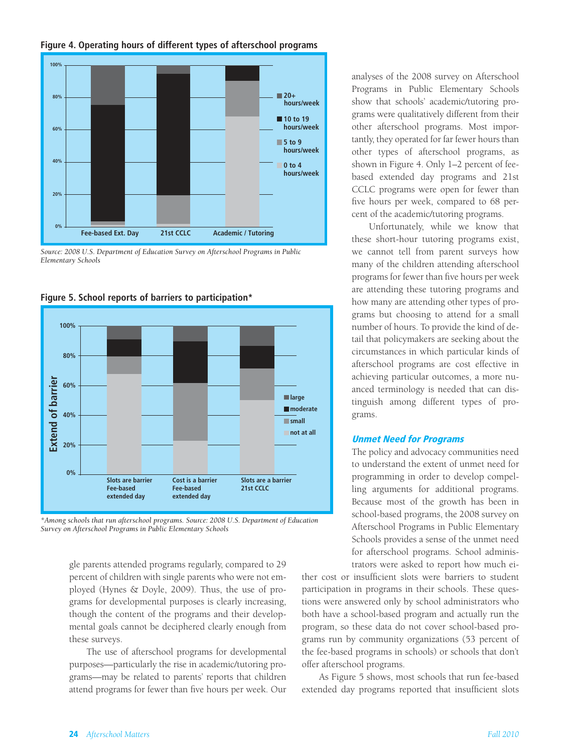#### **Figure 4. Operating hours of different types of afterschool programs**



*Source: 2008 U.S. Department of Education Survey on Afterschool Programs in Public Elementary Schools*



**Figure 5. School reports of barriers to participation\***

*\*Among schools that run afterschool programs. Source: 2008 U.S. Department of Education Survey on Afterschool Programs in Public Elementary Schools*

> gle parents attended programs regularly, compared to 29 percent of children with single parents who were not employed (Hynes & Doyle, 2009). Thus, the use of programs for developmental purposes is clearly increasing, though the content of the programs and their developmental goals cannot be deciphered clearly enough from these surveys.

> The use of afterschool programs for developmental purposes—particularly the rise in academic/tutoring programs—may be related to parents' reports that children attend programs for fewer than five hours per week. Our

analyses of the 2008 survey on Afterschool Programs in Public Elementary Schools show that schools' academic/tutoring programs were qualitatively different from their other afterschool programs. Most importantly, they operated for far fewer hours than other types of afterschool programs, as shown in Figure 4. Only 1–2 percent of feebased extended day programs and 21st CCLC programs were open for fewer than five hours per week, compared to 68 percent of the academic/tutoring programs.

Unfortunately, while we know that these short-hour tutoring programs exist, we cannot tell from parent surveys how many of the children attending afterschool programs for fewer than five hours per week are attending these tutoring programs and how many are attending other types of programs but choosing to attend for a small number of hours. To provide the kind of detail that policymakers are seeking about the circumstances in which particular kinds of afterschool programs are cost effective in achieving particular outcomes, a more nuanced terminology is needed that can distinguish among different types of programs.

#### Unmet Need for Programs

The policy and advocacy communities need to understand the extent of unmet need for programming in order to develop compelling arguments for additional programs. Because most of the growth has been in school-based programs, the 2008 survey on Afterschool Programs in Public Elementary Schools provides a sense of the unmet need for afterschool programs. School administrators were asked to report how much ei-

ther cost or insufficient slots were barriers to student participation in programs in their schools. These questions were answered only by school administrators who both have a school-based program and actually run the program, so these data do not cover school-based programs run by community organizations (53 percent of the fee-based programs in schools) or schools that don't offer afterschool programs.

As Figure 5 shows, most schools that run fee-based extended day programs reported that insufficient slots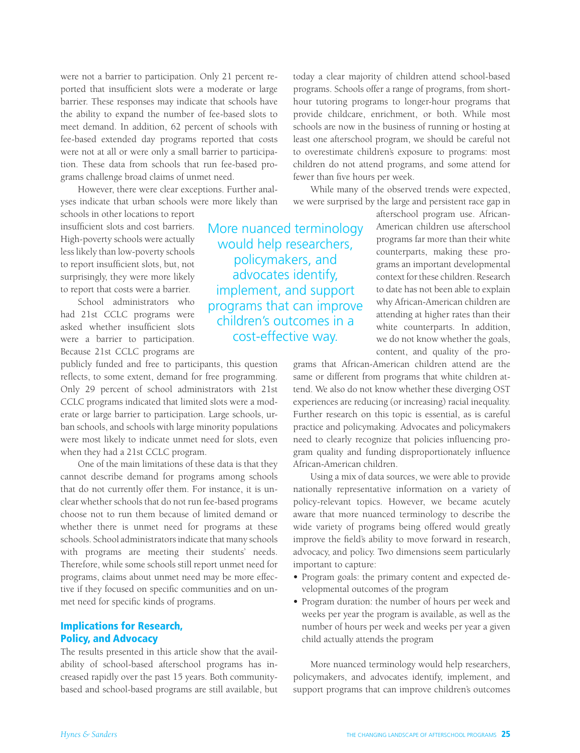were not a barrier to participation. Only 21 percent reported that insufficient slots were a moderate or large barrier. These responses may indicate that schools have the ability to expand the number of fee-based slots to meet demand. In addition, 62 percent of schools with fee-based extended day programs reported that costs were not at all or were only a small barrier to participation. These data from schools that run fee-based programs challenge broad claims of unmet need.

However, there were clear exceptions. Further analyses indicate that urban schools were more likely than

schools in other locations to report insufficient slots and cost barriers. High-poverty schools were actually less likely than low-poverty schools to report insufficient slots, but, not surprisingly, they were more likely to report that costs were a barrier.

School administrators who had 21st CCLC programs were asked whether insufficient slots were a barrier to participation. Because 21st CCLC programs are

publicly funded and free to participants, this question reflects, to some extent, demand for free programming. Only 29 percent of school administrators with 21st CCLC programs indicated that limited slots were a moderate or large barrier to participation. Large schools, urban schools, and schools with large minority populations were most likely to indicate unmet need for slots, even when they had a 21st CCLC program.

One of the main limitations of these data is that they cannot describe demand for programs among schools that do not currently offer them. For instance, it is unclear whether schools that do not run fee-based programs choose not to run them because of limited demand or whether there is unmet need for programs at these schools. School administrators indicate that many schools with programs are meeting their students' needs. Therefore, while some schools still report unmet need for programs, claims about unmet need may be more effective if they focused on specific communities and on unmet need for specific kinds of programs.

### Implications for Research, Policy, and Advocacy

The results presented in this article show that the availability of school-based afterschool programs has increased rapidly over the past 15 years. Both communitybased and school-based programs are still available, but today a clear majority of children attend school-based programs. Schools offer a range of programs, from shorthour tutoring programs to longer-hour programs that provide childcare, enrichment, or both. While most schools are now in the business of running or hosting at least one afterschool program, we should be careful not to overestimate children's exposure to programs: most children do not attend programs, and some attend for fewer than five hours per week.

While many of the observed trends were expected, we were surprised by the large and persistent race gap in

More nuanced terminology would help researchers, policymakers, and advocates identify, implement, and support programs that can improve children's outcomes in a cost-effective way.

afterschool program use. African-American children use afterschool programs far more than their white counterparts, making these programs an important developmental context for these children. Research to date has not been able to explain why African-American children are attending at higher rates than their white counterparts. In addition, we do not know whether the goals, content, and quality of the pro-

grams that African-American children attend are the same or different from programs that white children attend. We also do not know whether these diverging OST experiences are reducing (or increasing) racial inequality. Further research on this topic is essential, as is careful practice and policymaking. Advocates and policymakers need to clearly recognize that policies influencing program quality and funding disproportionately influence African-American children.

Using a mix of data sources, we were able to provide nationally representative information on a variety of policy-relevant topics. However, we became acutely aware that more nuanced terminology to describe the wide variety of programs being offered would greatly improve the field's ability to move forward in research, advocacy, and policy. Two dimensions seem particularly important to capture:

- **•**  Program goals: the primary content and expected developmental outcomes of the program
- **•**  Program duration: the number of hours per week and weeks per year the program is available, as well as the number of hours per week and weeks per year a given child actually attends the program

More nuanced terminology would help researchers, policymakers, and advocates identify, implement, and support programs that can improve children's outcomes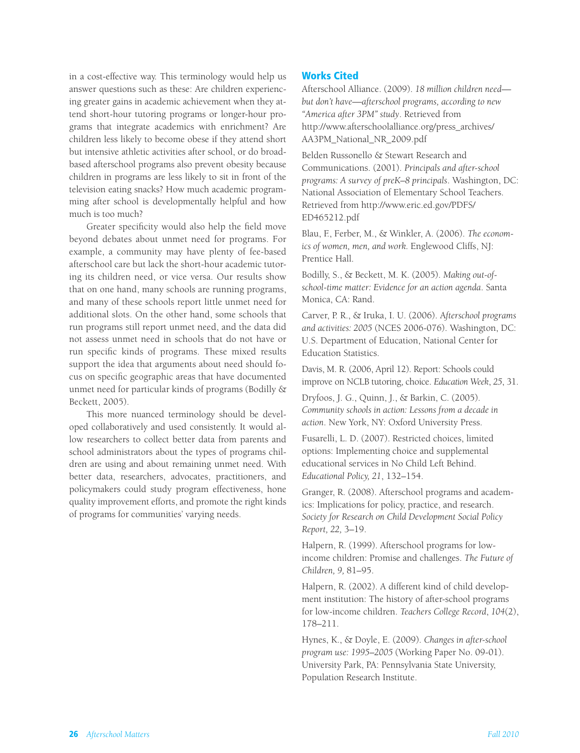in a cost-effective way. This terminology would help us answer questions such as these: Are children experiencing greater gains in academic achievement when they attend short-hour tutoring programs or longer-hour programs that integrate academics with enrichment? Are children less likely to become obese if they attend short but intensive athletic activities after school, or do broadbased afterschool programs also prevent obesity because children in programs are less likely to sit in front of the television eating snacks? How much academic programming after school is developmentally helpful and how much is too much?

Greater specificity would also help the field move beyond debates about unmet need for programs. For example, a community may have plenty of fee-based afterschool care but lack the short-hour academic tutoring its children need, or vice versa. Our results show that on one hand, many schools are running programs, and many of these schools report little unmet need for additional slots. On the other hand, some schools that run programs still report unmet need, and the data did not assess unmet need in schools that do not have or run specific kinds of programs. These mixed results support the idea that arguments about need should focus on specific geographic areas that have documented unmet need for particular kinds of programs (Bodilly & Beckett, 2005).

This more nuanced terminology should be developed collaboratively and used consistently. It would allow researchers to collect better data from parents and school administrators about the types of programs children are using and about remaining unmet need. With better data, researchers, advocates, practitioners, and policymakers could study program effectiveness, hone quality improvement efforts, and promote the right kinds of programs for communities' varying needs.

## Works Cited

Afterschool Alliance. (2009). *18 million children need but don't have—afterschool programs, according to new "America after 3PM" study*. Retrieved from http://www.afterschoolalliance.org/press\_archives/ AA3PM\_National\_NR\_2009.pdf

Belden Russonello & Stewart Research and Communications. (2001). *Principals and after-school programs: A survey of preK–8 principals*. Washington, DC: National Association of Elementary School Teachers. Retrieved from http://www.eric.ed.gov/PDFS/ ED465212.pdf

Blau, F., Ferber, M., & Winkler, A. (2006). *The economics of women, men, and work.* Englewood Cliffs, NJ: Prentice Hall.

Bodilly, S., & Beckett, M. K. (2005). *Making out-ofschool-time matter: Evidence for an action agenda*. Santa Monica, CA: Rand.

Carver, P. R., & Iruka, I. U. (2006). A*fterschool programs and activities: 2005* (NCES 2006-076). Washington, DC: U.S. Department of Education, National Center for Education Statistics.

Davis, M. R. (2006, April 12). Report: Schools could improve on NCLB tutoring, choice. *Education Week*, *25*, 31.

Dryfoos, J. G., Quinn, J., & Barkin, C. (2005). *Community schools in action: Lessons from a decade in action*. New York, NY: Oxford University Press.

Fusarelli, L. D. (2007). Restricted choices, limited options: Implementing choice and supplemental educational services in No Child Left Behind. *Educational Policy, 21*, 132–154.

Granger, R. (2008). Afterschool programs and academics: Implications for policy, practice, and research. *Society for Research on Child Development Social Policy Report, 22,* 3–19.

Halpern, R. (1999). Afterschool programs for lowincome children: Promise and challenges. *The Future of Children, 9,* 81–95.

Halpern, R. (2002). A different kind of child development institution: The history of after-school programs for low-income children. *Teachers College Record*, *104*(2), 178–211.

Hynes, K., & Doyle, E. (2009). *Changes in after-school program use: 1995–2005* (Working Paper No. 09-01). University Park, PA: Pennsylvania State University, Population Research Institute.